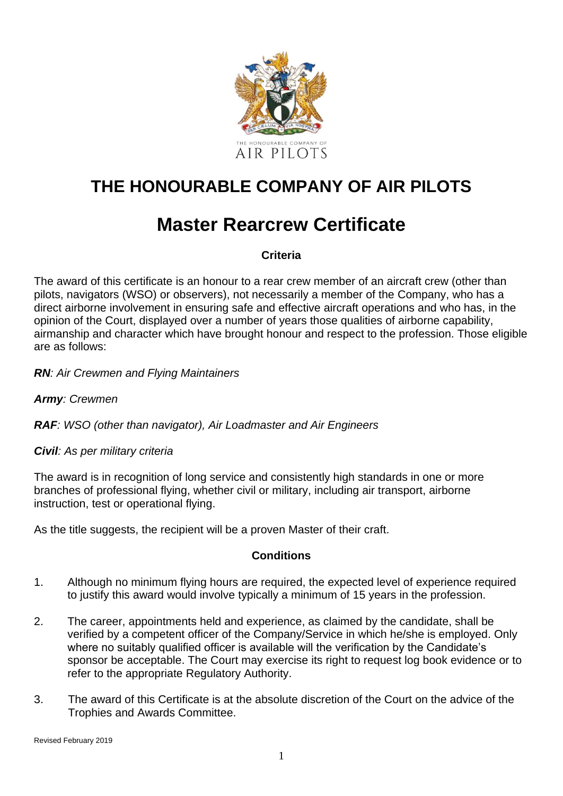

# **THE HONOURABLE COMPANY OF AIR PILOTS**

# **Master Rearcrew Certificate**

### **Criteria**

The award of this certificate is an honour to a rear crew member of an aircraft crew (other than pilots, navigators (WSO) or observers), not necessarily a member of the Company, who has a direct airborne involvement in ensuring safe and effective aircraft operations and who has, in the opinion of the Court, displayed over a number of years those qualities of airborne capability, airmanship and character which have brought honour and respect to the profession. Those eligible are as follows:

### *RN: Air Crewmen and Flying Maintainers*

### *Army: Crewmen*

### *RAF: WSO (other than navigator), Air Loadmaster and Air Engineers*

### *Civil: As per military criteria*

The award is in recognition of long service and consistently high standards in one or more branches of professional flying, whether civil or military, including air transport, airborne instruction, test or operational flying.

As the title suggests, the recipient will be a proven Master of their craft.

### **Conditions**

- 1. Although no minimum flying hours are required, the expected level of experience required to justify this award would involve typically a minimum of 15 years in the profession.
- 2. The career, appointments held and experience, as claimed by the candidate, shall be verified by a competent officer of the Company/Service in which he/she is employed. Only where no suitably qualified officer is available will the verification by the Candidate's sponsor be acceptable. The Court may exercise its right to request log book evidence or to refer to the appropriate Regulatory Authority.
- 3. The award of this Certificate is at the absolute discretion of the Court on the advice of the Trophies and Awards Committee.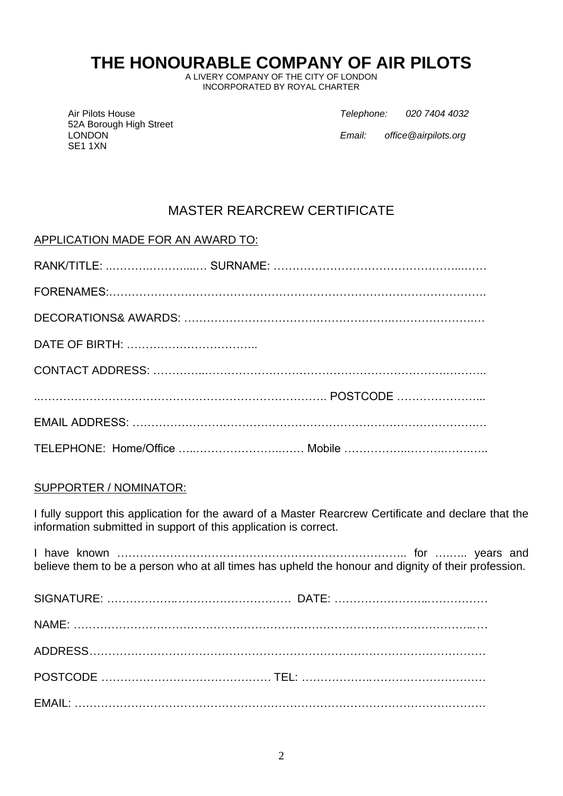## **THE HONOURABLE COMPANY OF AIR PILOTS**

A LIVERY COMPANY OF THE CITY OF LONDON INCORPORATED BY ROYAL CHARTER

52A Borough High Street SE1 1XN

Air Pilots House *Telephone: 020 7404 4032*

LONDON *Email: office@airpilots.org*

### MASTER REARCREW CERTIFICATE

### APPLICATION MADE FOR AN AWARD TO:

| TELEPHONE: Home/Office  Mobile |
|--------------------------------|

### SUPPORTER / NOMINATOR:

I fully support this application for the award of a Master Rearcrew Certificate and declare that the information submitted in support of this application is correct.

I have known ………………………………………………………………….. for ….….. years and believe them to be a person who at all times has upheld the honour and dignity of their profession. SIGNATURE: *……………….…………………………* DATE: *……………………..……………*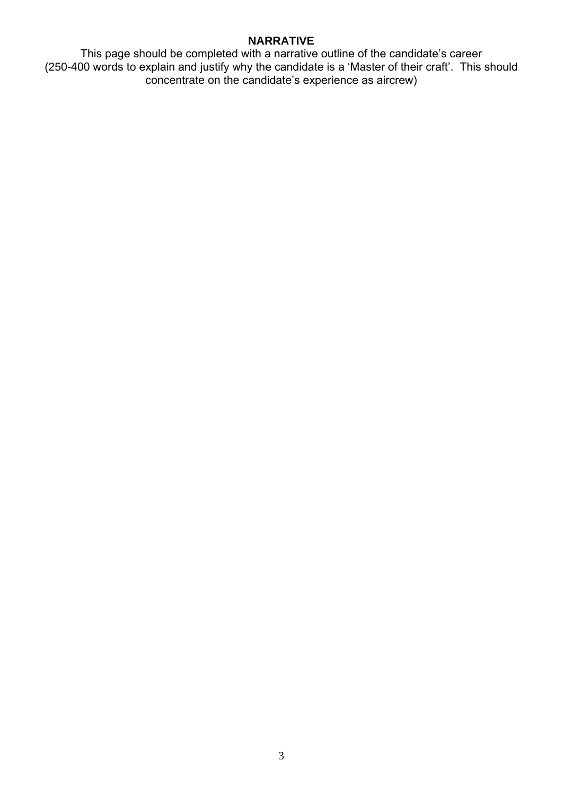#### **NARRATIVE**

This page should be completed with a narrative outline of the candidate's career (250-400 words to explain and justify why the candidate is a 'Master of their craft'. This should concentrate on the candidate's experience as aircrew)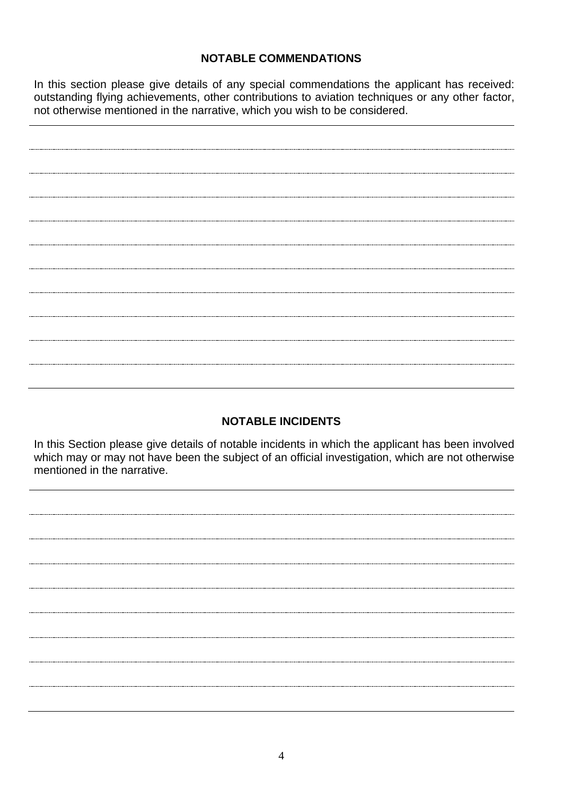### **NOTABLE COMMENDATIONS**

In this section please give details of any special commendations the applicant has received: outstanding flying achievements, other contributions to aviation techniques or any other factor, not otherwise mentioned in the narrative, which you wish to be considered.

### **NOTABLE INCIDENTS**

In this Section please give details of notable incidents in which the applicant has been involved which may or may not have been the subject of an official investigation, which are not otherwise mentioned in the narrative.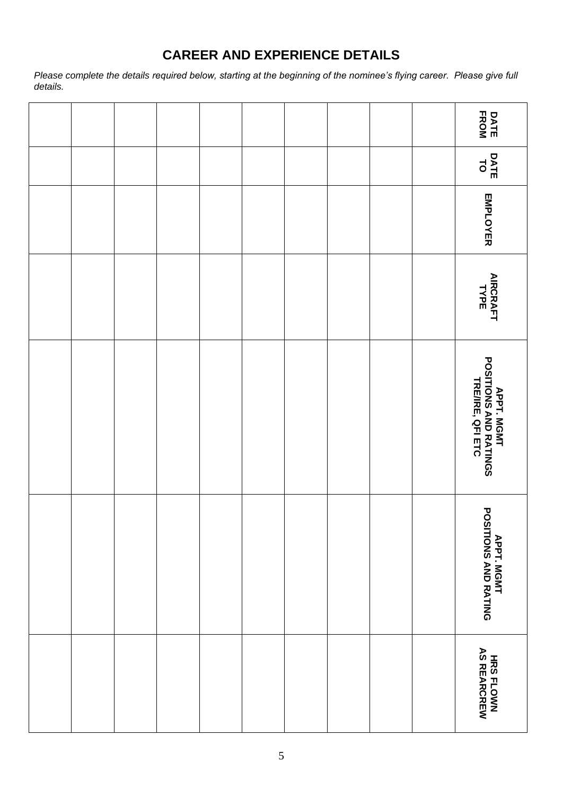## **CAREER AND EXPERIENCE DETAILS**

*Please complete the details required below, starting at the beginning of the nominee's flying career. Please give full details.*

|  |  |  |  |  | <b>DATE</b><br>FROM                                              |
|--|--|--|--|--|------------------------------------------------------------------|
|  |  |  |  |  | DATE<br>TO                                                       |
|  |  |  |  |  | EMPLOYER                                                         |
|  |  |  |  |  | <b>AIRCRAFT</b><br>TYPE                                          |
|  |  |  |  |  | <b>APPT, MGMT<br/>POSITIONS AND RATINGS<br/>TRE/IRE, QFI ETC</b> |
|  |  |  |  |  | <b>APPT. MGMT<br/>POSITIONS AND RATING</b>                       |
|  |  |  |  |  | HRS FLOWN<br>AS REARCREW                                         |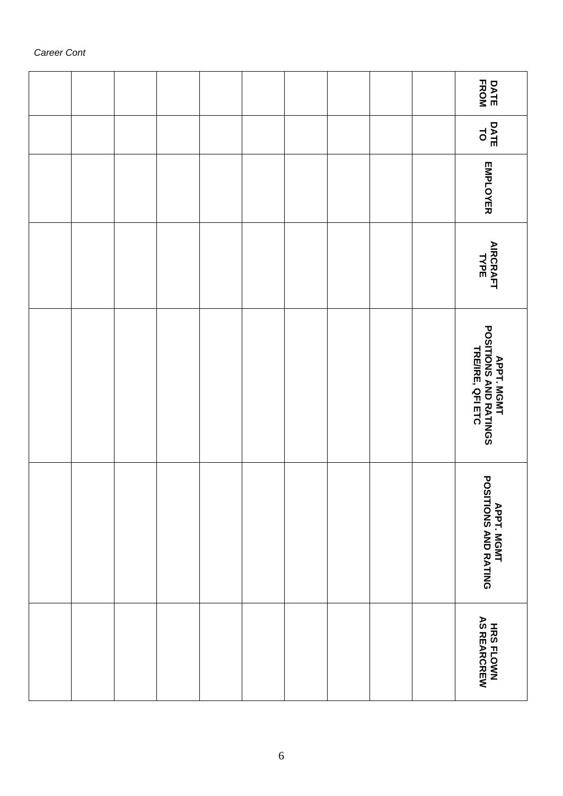|  |  |  |  |  | <b>DATE</b><br>FROM                                              |
|--|--|--|--|--|------------------------------------------------------------------|
|  |  |  |  |  | DATE<br>TO                                                       |
|  |  |  |  |  | EMPLOYER                                                         |
|  |  |  |  |  | <b>AIRCRAFT</b><br>TYPE                                          |
|  |  |  |  |  | <b>APPT, MGMT<br/>POSITIONS AND RATINGS<br/>TRE/IRE, QFI ETC</b> |
|  |  |  |  |  | APPT. MGMT<br>POSITIONS AND RATING                               |
|  |  |  |  |  | HRS FLOWN<br>AS REARCREW                                         |